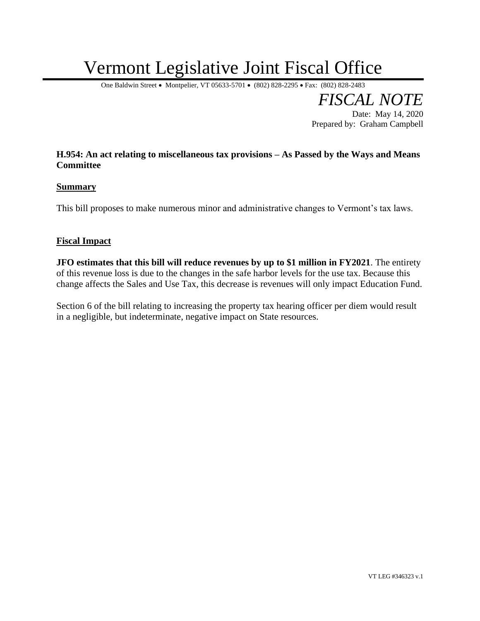## Vermont Legislative Joint Fiscal Office

One Baldwin Street • Montpelier, VT 05633-5701 • (802) 828-2295 • Fax: (802) 828-2483

*FISCAL NOTE* Date: May 14, 2020 Prepared by: Graham Campbell

## **H.954: An act relating to miscellaneous tax provisions – As Passed by the Ways and Means Committee**

## **Summary**

This bill proposes to make numerous minor and administrative changes to Vermont's tax laws.

## **Fiscal Impact**

**JFO estimates that this bill will reduce revenues by up to \$1 million in FY2021**. The entirety of this revenue loss is due to the changes in the safe harbor levels for the use tax. Because this change affects the Sales and Use Tax, this decrease is revenues will only impact Education Fund.

Section 6 of the bill relating to increasing the property tax hearing officer per diem would result in a negligible, but indeterminate, negative impact on State resources.